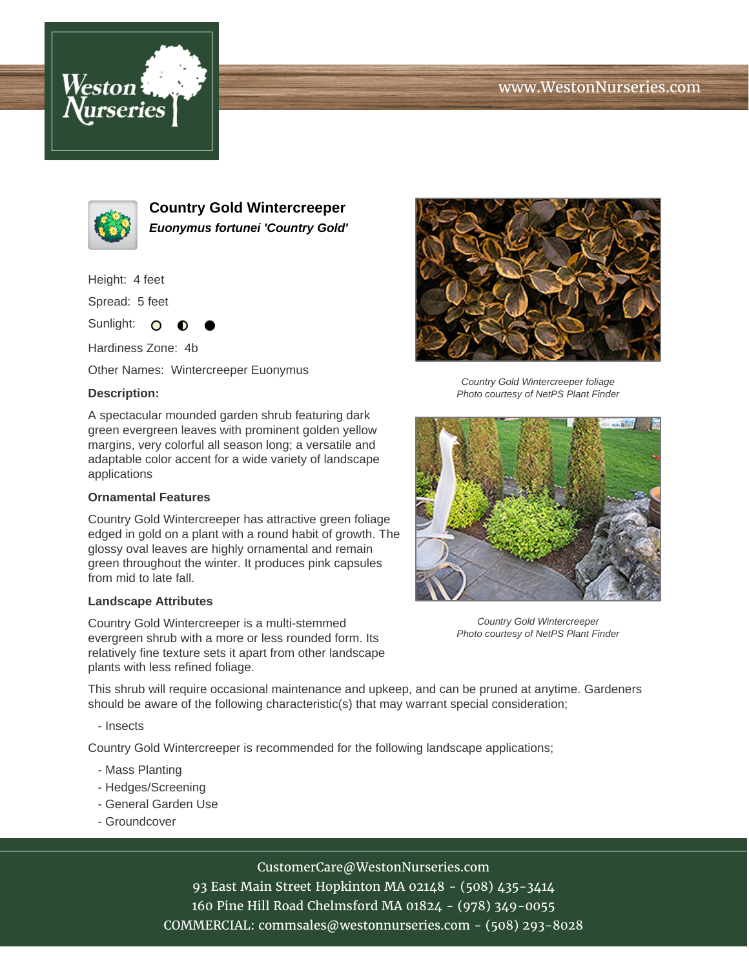# www.WestonNurseries.com





**Country Gold Wintercreeper Euonymus fortunei 'Country Gold'**

Height: 4 feet

Spread: 5 feet

Sunlight: O

Hardiness Zone: 4b

Other Names: Wintercreeper Euonymus

### **Description:**

A spectacular mounded garden shrub featuring dark green evergreen leaves with prominent golden yellow margins, very colorful all season long; a versatile and adaptable color accent for a wide variety of landscape applications

### **Ornamental Features**

Country Gold Wintercreeper has attractive green foliage edged in gold on a plant with a round habit of growth. The glossy oval leaves are highly ornamental and remain green throughout the winter. It produces pink capsules from mid to late fall.

#### **Landscape Attributes**

Country Gold Wintercreeper is a multi-stemmed evergreen shrub with a more or less rounded form. Its relatively fine texture sets it apart from other landscape plants with less refined foliage.



Country Gold Wintercreeper foliage Photo courtesy of NetPS Plant Finder



Country Gold Wintercreeper Photo courtesy of NetPS Plant Finder

This shrub will require occasional maintenance and upkeep, and can be pruned at anytime. Gardeners should be aware of the following characteristic(s) that may warrant special consideration;

- Insects

Country Gold Wintercreeper is recommended for the following landscape applications;

- Mass Planting
- Hedges/Screening
- General Garden Use
- Groundcover

# CustomerCare@WestonNurseries.com

93 East Main Street Hopkinton MA 02148 - (508) 435-3414 160 Pine Hill Road Chelmsford MA 01824 - (978) 349-0055 COMMERCIAL: commsales@westonnurseries.com - (508) 293-8028